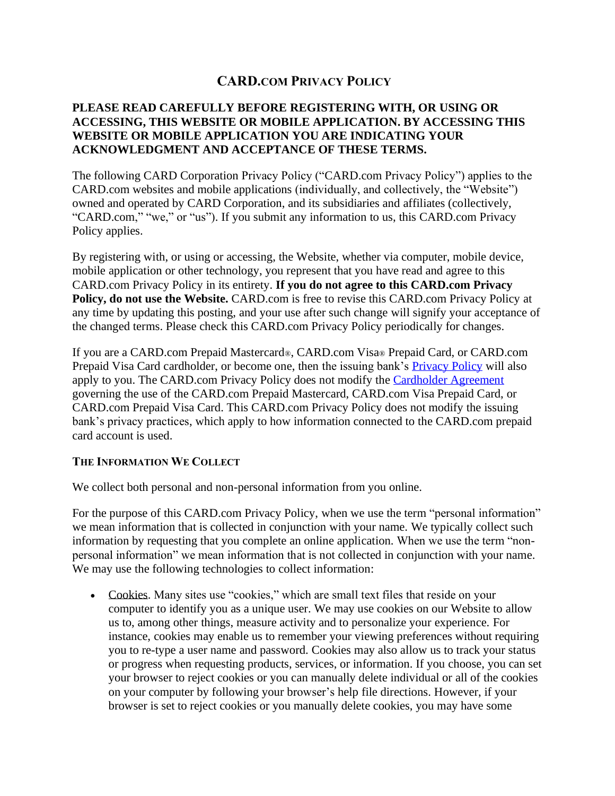# **CARD.COM PRIVACY POLICY**

# **PLEASE READ CAREFULLY BEFORE REGISTERING WITH, OR USING OR ACCESSING, THIS WEBSITE OR MOBILE APPLICATION. BY ACCESSING THIS WEBSITE OR MOBILE APPLICATION YOU ARE INDICATING YOUR ACKNOWLEDGMENT AND ACCEPTANCE OF THESE TERMS.**

The following CARD Corporation Privacy Policy ("CARD.com Privacy Policy") applies to the CARD.com websites and mobile applications (individually, and collectively, the "Website") owned and operated by CARD Corporation, and its subsidiaries and affiliates (collectively, "CARD.com," "we," or "us"). If you submit any information to us, this CARD.com Privacy Policy applies.

By registering with, or using or accessing, the Website, whether via computer, mobile device, mobile application or other technology, you represent that you have read and agree to this CARD.com Privacy Policy in its entirety. **If you do not agree to this CARD.com Privacy Policy, do not use the Website.** CARD.com is free to revise this CARD.com Privacy Policy at any time by updating this posting, and your use after such change will signify your acceptance of the changed terms. Please check this CARD.com Privacy Policy periodically for changes.

If you are a CARD.com Prepaid Mastercard®, CARD.com Visa® Prepaid Card, or CARD.com Prepaid Visa Card cardholder, or become one, then the issuing bank's [Privacy Policy](https://www.card.com/privacy-policy) will also apply to you. The CARD.com Privacy Policy does not modify the [Cardholder Agreement](https://www.card.com/cardholder-agreement) governing the use of the CARD.com Prepaid Mastercard, CARD.com Visa Prepaid Card, or CARD.com Prepaid Visa Card. This CARD.com Privacy Policy does not modify the issuing bank's privacy practices, which apply to how information connected to the CARD.com prepaid card account is used.

#### **THE INFORMATION WE COLLECT**

We collect both personal and non-personal information from you online.

For the purpose of this CARD.com Privacy Policy, when we use the term "personal information" we mean information that is collected in conjunction with your name. We typically collect such information by requesting that you complete an online application. When we use the term "nonpersonal information" we mean information that is not collected in conjunction with your name. We may use the following technologies to collect information:

• Cookies. Many sites use "cookies," which are small text files that reside on your computer to identify you as a unique user. We may use cookies on our Website to allow us to, among other things, measure activity and to personalize your experience. For instance, cookies may enable us to remember your viewing preferences without requiring you to re-type a user name and password. Cookies may also allow us to track your status or progress when requesting products, services, or information. If you choose, you can set your browser to reject cookies or you can manually delete individual or all of the cookies on your computer by following your browser's help file directions. However, if your browser is set to reject cookies or you manually delete cookies, you may have some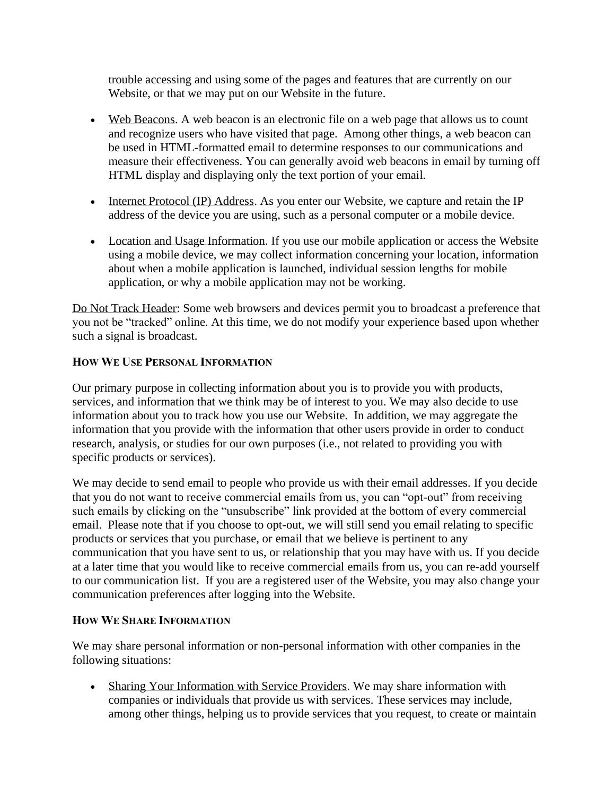trouble accessing and using some of the pages and features that are currently on our Website, or that we may put on our Website in the future.

- Web Beacons. A web beacon is an electronic file on a web page that allows us to count and recognize users who have visited that page. Among other things, a web beacon can be used in HTML-formatted email to determine responses to our communications and measure their effectiveness. You can generally avoid web beacons in email by turning off HTML display and displaying only the text portion of your email.
- Internet Protocol (IP) Address. As you enter our Website, we capture and retain the IP address of the device you are using, such as a personal computer or a mobile device.
- Location and Usage Information. If you use our mobile application or access the Website using a mobile device, we may collect information concerning your location, information about when a mobile application is launched, individual session lengths for mobile application, or why a mobile application may not be working.

Do Not Track Header: Some web browsers and devices permit you to broadcast a preference that you not be "tracked" online. At this time, we do not modify your experience based upon whether such a signal is broadcast.

# **HOW WE USE PERSONAL INFORMATION**

Our primary purpose in collecting information about you is to provide you with products, services, and information that we think may be of interest to you. We may also decide to use information about you to track how you use our Website. In addition, we may aggregate the information that you provide with the information that other users provide in order to conduct research, analysis, or studies for our own purposes (i.e., not related to providing you with specific products or services).

We may decide to send email to people who provide us with their email addresses. If you decide that you do not want to receive commercial emails from us, you can "opt-out" from receiving such emails by clicking on the "unsubscribe" link provided at the bottom of every commercial email. Please note that if you choose to opt-out, we will still send you email relating to specific products or services that you purchase, or email that we believe is pertinent to any communication that you have sent to us, or relationship that you may have with us. If you decide at a later time that you would like to receive commercial emails from us, you can re-add yourself to our communication list. If you are a registered user of the Website, you may also change your communication preferences after logging into the Website.

#### **HOW WE SHARE INFORMATION**

We may share personal information or non-personal information with other companies in the following situations:

• Sharing Your Information with Service Providers. We may share information with companies or individuals that provide us with services. These services may include, among other things, helping us to provide services that you request, to create or maintain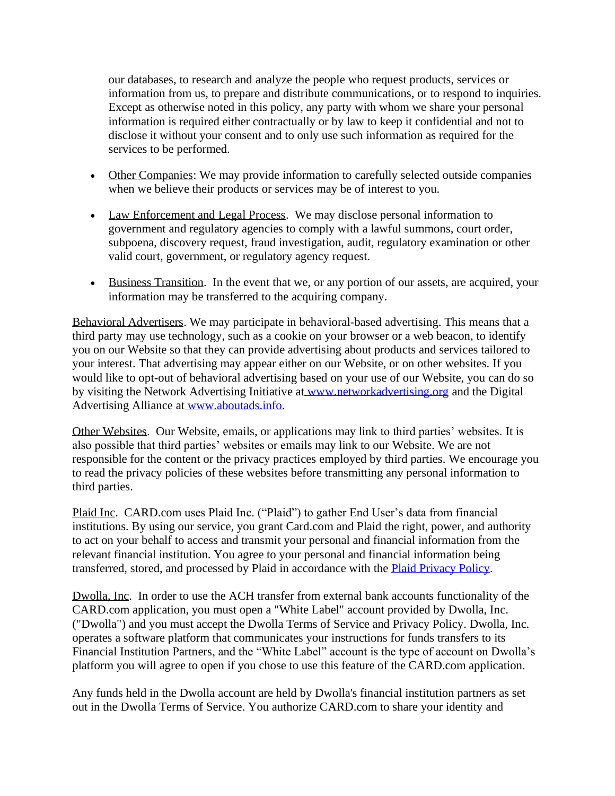our databases, to research and analyze the people who request products, services or information from us, to prepare and distribute communications, or to respond to inquiries. Except as otherwise noted in this policy, any party with whom we share your personal information is required either contractually or by law to keep it confidential and not to disclose it without your consent and to only use such information as required for the services to be performed.

- Other Companies: We may provide information to carefully selected outside companies when we believe their products or services may be of interest to you.
- Law Enforcement and Legal Process. We may disclose personal information to government and regulatory agencies to comply with a lawful summons, court order, subpoena, discovery request, fraud investigation, audit, regulatory examination or other valid court, government, or regulatory agency request.
- Business Transition. In the event that we, or any portion of our assets, are acquired, your information may be transferred to the acquiring company.

Behavioral Advertisers. We may participate in behavioral-based advertising. This means that a third party may use technology, such as a cookie on your browser or a web beacon, to identify you on our Website so that they can provide advertising about products and services tailored to your interest. That advertising may appear either on our Website, or on other websites. If you would like to opt-out of behavioral advertising based on your use of our Website, you can do so by visiting the Network Advertising Initiative at www.networkadvertising.org and the Digital Advertising Alliance at www.aboutads.info.

Other Websites. Our Website, emails, or applications may link to third parties' websites. It is also possible that third parties' websites or emails may link to our Website. We are not responsible for the content or the privacy practices employed by third parties. We encourage you to read the privacy policies of these websites before transmitting any personal information to third parties.

Plaid Inc. CARD.com uses Plaid Inc. ("Plaid") to gather End User's data from financial institutions. By using our service, you grant Card.com and Plaid the right, power, and authority to act on your behalf to access and transmit your personal and financial information from the relevant financial institution. You agree to your personal and financial information being transferred, stored, and processed by Plaid in accordance with the [Plaid Privacy Policy.](https://plaid.com/legal)

Dwolla, Inc. In order to use the ACH transfer from external bank accounts functionality of the CARD.com application, you must open a "White Label" account provided by Dwolla, Inc. ("Dwolla") and you must accept the Dwolla Terms of Service and Privacy Policy. Dwolla, Inc. operates a software platform that communicates your instructions for funds transfers to its Financial Institution Partners, and the "White Label" account is the type of account on Dwolla's platform you will agree to open if you chose to use this feature of the CARD.com application.

Any funds held in the Dwolla account are held by Dwolla's financial institution partners as set out in the Dwolla Terms of Service. You authorize CARD.com to share your identity and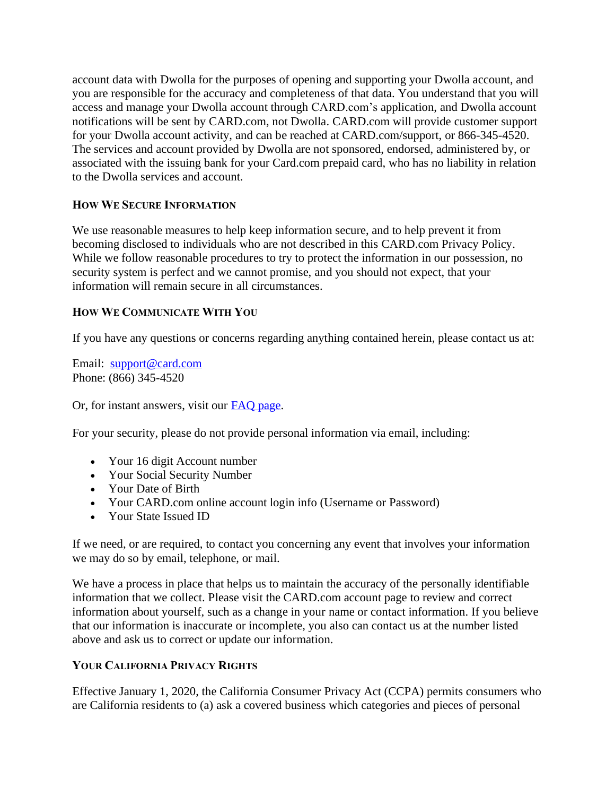account data with Dwolla for the purposes of opening and supporting your Dwolla account, and you are responsible for the accuracy and completeness of that data. You understand that you will access and manage your Dwolla account through CARD.com's application, and Dwolla account notifications will be sent by CARD.com, not Dwolla. CARD.com will provide customer support for your Dwolla account activity, and can be reached at CARD.com/support, or 866-345-4520. The services and account provided by Dwolla are not sponsored, endorsed, administered by, or associated with the issuing bank for your Card.com prepaid card, who has no liability in relation to the Dwolla services and account.

# **HOW WE SECURE INFORMATION**

We use reasonable measures to help keep information secure, and to help prevent it from becoming disclosed to individuals who are not described in this CARD.com Privacy Policy. While we follow reasonable procedures to try to protect the information in our possession, no security system is perfect and we cannot promise, and you should not expect, that your information will remain secure in all circumstances.

## **HOW WE COMMUNICATE WITH YOU**

If you have any questions or concerns regarding anything contained herein, please contact us at:

Email: support@card.com Phone: (866) 345-4520

Or, for instant answers, visit our [FAQ page.](https://www.card.com/faq)

For your security, please do not provide personal information via email, including:

- Your 16 digit Account number
- Your Social Security Number
- Your Date of Birth
- Your CARD.com online account login info (Username or Password)
- Your State Issued ID

If we need, or are required, to contact you concerning any event that involves your information we may do so by email, telephone, or mail.

We have a process in place that helps us to maintain the accuracy of the personally identifiable information that we collect. Please visit the CARD.com account page to review and correct information about yourself, such as a change in your name or contact information. If you believe that our information is inaccurate or incomplete, you also can contact us at the number listed above and ask us to correct or update our information.

#### **YOUR CALIFORNIA PRIVACY RIGHTS**

Effective January 1, 2020, the California Consumer Privacy Act (CCPA) permits consumers who are California residents to (a) ask a covered business which categories and pieces of personal